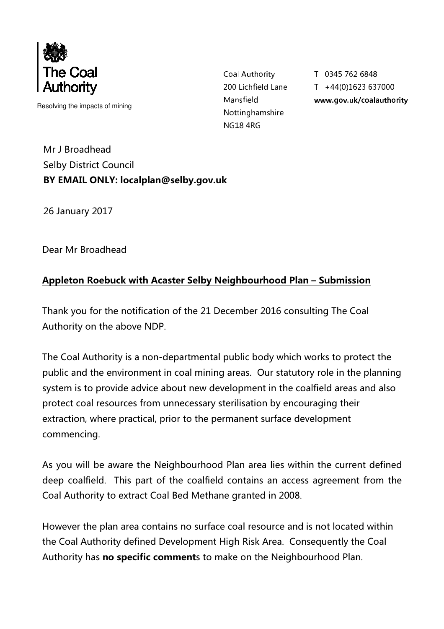

Resolving the impacts of mining

Coal Authority 200 Lichfield Lane Mansfield Nottinghamshire **NG18 4RG** 

T 0345 762 6848  $T + 44(0)1623637000$ www.gov.uk/coalauthority

Mr J Broadhead Selby District Council BY EMAIL ONLY: localplan@selby.gov.uk

26 January 2017

Dear Mr Broadhead

## Appleton Roebuck with Acaster Selby Neighbourhood Plan – Submission

Thank you for the notification of the 21 December 2016 consulting The Coal Authority on the above NDP.

The Coal Authority is a non-departmental public body which works to protect the public and the environment in coal mining areas. Our statutory role in the planning system is to provide advice about new development in the coalfield areas and also protect coal resources from unnecessary sterilisation by encouraging their extraction, where practical, prior to the permanent surface development commencing.

As you will be aware the Neighbourhood Plan area lies within the current defined deep coalfield. This part of the coalfield contains an access agreement from the Coal Authority to extract Coal Bed Methane granted in 2008.

However the plan area contains no surface coal resource and is not located within the Coal Authority defined Development High Risk Area. Consequently the Coal Authority has **no specific comment**s to make on the Neighbourhood Plan.